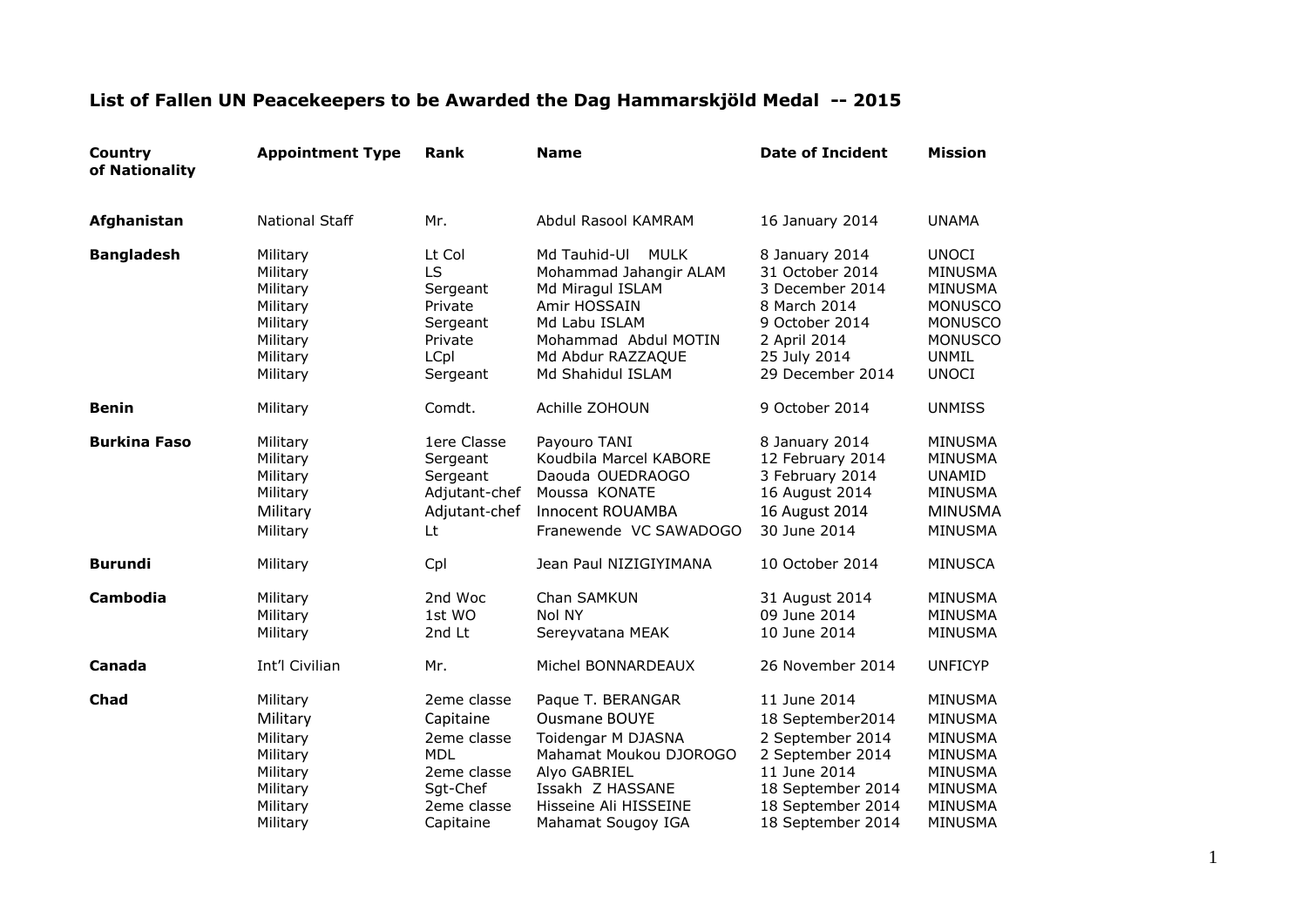| Country<br>of Nationality | <b>Appointment Type</b>                                                                      | <b>Rank</b>                                                                                                  | <b>Name</b>                                                                                                                                                                  | <b>Date of Incident</b>                                                                                                                                 | <b>Mission</b>                                                                                                                  |
|---------------------------|----------------------------------------------------------------------------------------------|--------------------------------------------------------------------------------------------------------------|------------------------------------------------------------------------------------------------------------------------------------------------------------------------------|---------------------------------------------------------------------------------------------------------------------------------------------------------|---------------------------------------------------------------------------------------------------------------------------------|
| Afghanistan               | <b>National Staff</b>                                                                        | Mr.                                                                                                          | Abdul Rasool KAMRAM                                                                                                                                                          | 16 January 2014                                                                                                                                         | <b>UNAMA</b>                                                                                                                    |
| <b>Bangladesh</b>         | Military<br>Military<br>Military<br>Military<br>Military<br>Military<br>Military<br>Military | Lt Col<br>LS<br>Sergeant<br>Private<br>Sergeant<br>Private<br>LCpl<br>Sergeant                               | Md Tauhid-Ul<br><b>MULK</b><br>Mohammad Jahangir ALAM<br>Md Miragul ISLAM<br>Amir HOSSAIN<br>Md Labu ISLAM<br>Mohammad Abdul MOTIN<br>Md Abdur RAZZAQUE<br>Md Shahidul ISLAM | 8 January 2014<br>31 October 2014<br>3 December 2014<br>8 March 2014<br>9 October 2014<br>2 April 2014<br>25 July 2014<br>29 December 2014              | <b>UNOCI</b><br>MINUSMA<br><b>MINUSMA</b><br><b>MONUSCO</b><br><b>MONUSCO</b><br><b>MONUSCO</b><br><b>UNMIL</b><br><b>UNOCI</b> |
| <b>Benin</b>              | Military                                                                                     | Comdt.                                                                                                       | Achille ZOHOUN                                                                                                                                                               | 9 October 2014                                                                                                                                          | <b>UNMISS</b>                                                                                                                   |
| <b>Burkina Faso</b>       | Military<br>Military<br>Military<br>Military<br>Military<br>Military                         | 1ere Classe<br>Sergeant<br>Sergeant<br>Adjutant-chef<br>Adjutant-chef<br>Lt                                  | Payouro TANI<br>Koudbila Marcel KABORE<br>Daouda OUEDRAOGO<br>Moussa KONATE<br>Innocent ROUAMBA<br>Franewende VC SAWADOGO                                                    | 8 January 2014<br>12 February 2014<br>3 February 2014<br>16 August 2014<br>16 August 2014<br>30 June 2014                                               | <b>MINUSMA</b><br><b>MINUSMA</b><br><b>UNAMID</b><br>MINUSMA<br><b>MINUSMA</b><br><b>MINUSMA</b>                                |
| <b>Burundi</b>            | Military                                                                                     | Cpl                                                                                                          | Jean Paul NIZIGIYIMANA                                                                                                                                                       | 10 October 2014                                                                                                                                         | <b>MINUSCA</b>                                                                                                                  |
| Cambodia                  | Military<br>Military<br>Military                                                             | 2nd Woc<br>1st WO<br>2nd Lt                                                                                  | Chan SAMKUN<br>Nol NY<br>Sereyvatana MEAK                                                                                                                                    | 31 August 2014<br>09 June 2014<br>10 June 2014                                                                                                          | <b>MINUSMA</b><br><b>MINUSMA</b><br><b>MINUSMA</b>                                                                              |
| Canada                    | Int'l Civilian                                                                               | Mr.                                                                                                          | Michel BONNARDEAUX                                                                                                                                                           | 26 November 2014                                                                                                                                        | <b>UNFICYP</b>                                                                                                                  |
| Chad                      | Military<br>Military<br>Military<br>Military<br>Military<br>Military<br>Military<br>Military | 2eme classe<br>Capitaine<br>2eme classe<br><b>MDL</b><br>2eme classe<br>Sgt-Chef<br>2eme classe<br>Capitaine | Paque T. BERANGAR<br><b>Ousmane BOUYE</b><br>Toidengar M DJASNA<br>Mahamat Moukou DJOROGO<br>Alyo GABRIEL<br>Issakh Z HASSANE<br>Hisseine Ali HISSEINE<br>Mahamat Sougoy IGA | 11 June 2014<br>18 September2014<br>2 September 2014<br>2 September 2014<br>11 June 2014<br>18 September 2014<br>18 September 2014<br>18 September 2014 | MINUSMA<br><b>MINUSMA</b><br><b>MINUSMA</b><br>MINUSMA<br><b>MINUSMA</b><br><b>MINUSMA</b><br>MINUSMA<br>MINUSMA                |

## **List of Fallen UN Peacekeepers to be Awarded the Dag Hammarskjöld Medal -- 2015**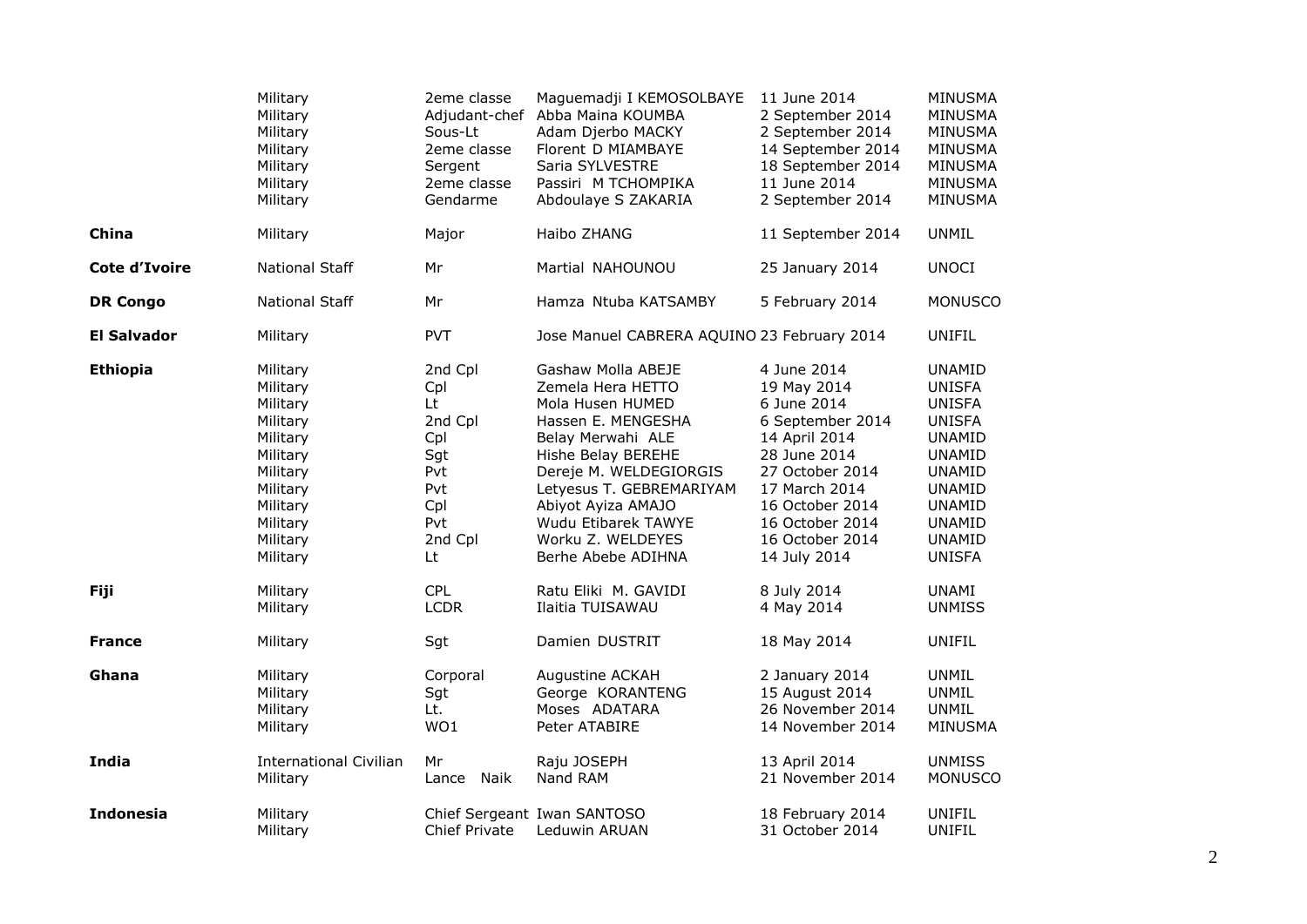|                      | Military<br>Military<br>Military<br>Military<br>Military<br>Military<br>Military                                                             | 2eme classe<br>Sous-Lt<br>2eme classe<br>Sergent<br>2eme classe<br>Gendarme                 | Maguemadji I KEMOSOLBAYE<br>Adjudant-chef Abba Maina KOUMBA<br>Adam Djerbo MACKY<br>Florent D MIAMBAYE<br>Saria SYLVESTRE<br>Passiri M TCHOMPIKA<br>Abdoulaye S ZAKARIA                                                                                                    | 11 June 2014<br>2 September 2014<br>2 September 2014<br>14 September 2014<br>18 September 2014<br>11 June 2014<br>2 September 2014                                                                          | <b>MINUSMA</b><br><b>MINUSMA</b><br>MINUSMA<br><b>MINUSMA</b><br><b>MINUSMA</b><br><b>MINUSMA</b><br><b>MINUSMA</b>                                                                                      |
|----------------------|----------------------------------------------------------------------------------------------------------------------------------------------|---------------------------------------------------------------------------------------------|----------------------------------------------------------------------------------------------------------------------------------------------------------------------------------------------------------------------------------------------------------------------------|-------------------------------------------------------------------------------------------------------------------------------------------------------------------------------------------------------------|----------------------------------------------------------------------------------------------------------------------------------------------------------------------------------------------------------|
| China                | Military                                                                                                                                     | Major                                                                                       | Haibo ZHANG                                                                                                                                                                                                                                                                | 11 September 2014                                                                                                                                                                                           | <b>UNMIL</b>                                                                                                                                                                                             |
| <b>Cote d'Ivoire</b> | <b>National Staff</b>                                                                                                                        | Mr                                                                                          | Martial NAHOUNOU                                                                                                                                                                                                                                                           | 25 January 2014                                                                                                                                                                                             | <b>UNOCI</b>                                                                                                                                                                                             |
| <b>DR Congo</b>      | <b>National Staff</b>                                                                                                                        | Mr                                                                                          | Hamza Ntuba KATSAMBY                                                                                                                                                                                                                                                       | 5 February 2014                                                                                                                                                                                             | <b>MONUSCO</b>                                                                                                                                                                                           |
| <b>El Salvador</b>   | Military                                                                                                                                     | <b>PVT</b>                                                                                  | Jose Manuel CABRERA AQUINO 23 February 2014                                                                                                                                                                                                                                |                                                                                                                                                                                                             | <b>UNIFIL</b>                                                                                                                                                                                            |
| <b>Ethiopia</b>      | Military<br>Military<br>Military<br>Military<br>Military<br>Military<br>Military<br>Military<br>Military<br>Military<br>Military<br>Military | 2nd Cpl<br>Cpl<br>Lt.<br>2nd Cpl<br>Cpl<br>Sgt<br>Pvt<br>Pvt<br>Cpl<br>Pvt<br>2nd Cpl<br>Lt | Gashaw Molla ABEJE<br>Zemela Hera HETTO<br>Mola Husen HUMED<br>Hassen E. MENGESHA<br>Belay Merwahi ALE<br>Hishe Belay BEREHE<br>Dereje M. WELDEGIORGIS<br>Letyesus T. GEBREMARIYAM<br>Abiyot Ayiza AMAJO<br>Wudu Etibarek TAWYE<br>Worku Z. WELDEYES<br>Berhe Abebe ADIHNA | 4 June 2014<br>19 May 2014<br>6 June 2014<br>6 September 2014<br>14 April 2014<br>28 June 2014<br>27 October 2014<br>17 March 2014<br>16 October 2014<br>16 October 2014<br>16 October 2014<br>14 July 2014 | <b>UNAMID</b><br><b>UNISFA</b><br><b>UNISFA</b><br><b>UNISFA</b><br><b>UNAMID</b><br><b>UNAMID</b><br><b>UNAMID</b><br><b>UNAMID</b><br><b>UNAMID</b><br><b>UNAMID</b><br><b>UNAMID</b><br><b>UNISFA</b> |
| <b>Fiji</b>          | Military<br>Military                                                                                                                         | <b>CPL</b><br><b>LCDR</b>                                                                   | Ratu Eliki M. GAVIDI<br>Ilaitia TUISAWAU                                                                                                                                                                                                                                   | 8 July 2014<br>4 May 2014                                                                                                                                                                                   | UNAMI<br><b>UNMISS</b>                                                                                                                                                                                   |
| <b>France</b>        | Military                                                                                                                                     | Sgt                                                                                         | Damien DUSTRIT                                                                                                                                                                                                                                                             | 18 May 2014                                                                                                                                                                                                 | <b>UNIFIL</b>                                                                                                                                                                                            |
| Ghana                | Military<br>Military<br>Military<br>Military                                                                                                 | Corporal<br>Sgt<br>Lt.<br>WO1                                                               | Augustine ACKAH<br>George KORANTENG<br>Moses ADATARA<br>Peter ATABIRE                                                                                                                                                                                                      | 2 January 2014<br>15 August 2014<br>26 November 2014<br>14 November 2014                                                                                                                                    | <b>UNMIL</b><br><b>UNMIL</b><br><b>UNMIL</b><br>MINUSMA                                                                                                                                                  |
| India                | <b>International Civilian</b><br>Military                                                                                                    | Mr<br>Lance Naik                                                                            | Raju JOSEPH<br>Nand RAM                                                                                                                                                                                                                                                    | 13 April 2014<br>21 November 2014                                                                                                                                                                           | <b>UNMISS</b><br><b>MONUSCO</b>                                                                                                                                                                          |
| <b>Indonesia</b>     | Military<br>Military                                                                                                                         | <b>Chief Private</b>                                                                        | Chief Sergeant Iwan SANTOSO<br>Leduwin ARUAN                                                                                                                                                                                                                               | 18 February 2014<br>31 October 2014                                                                                                                                                                         | UNIFIL<br>UNIFIL                                                                                                                                                                                         |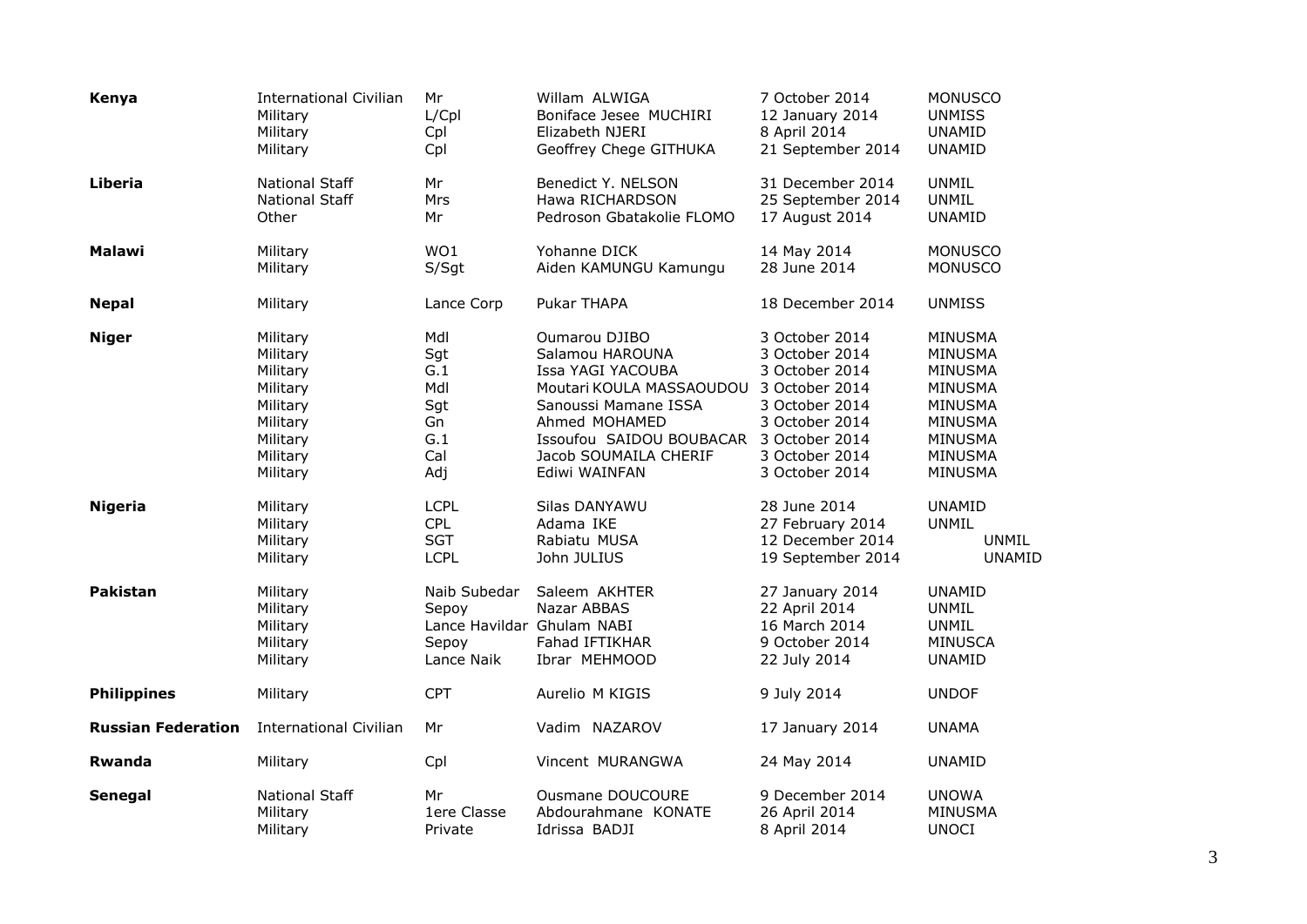| Kenya                     | <b>International Civilian</b>                            | Mr                                                                         | Willam ALWIGA                                                          | 7 October 2014                                                                      | <b>MONUSCO</b>                                                            |
|---------------------------|----------------------------------------------------------|----------------------------------------------------------------------------|------------------------------------------------------------------------|-------------------------------------------------------------------------------------|---------------------------------------------------------------------------|
|                           | Military                                                 | L/Cpl                                                                      | Boniface Jesee MUCHIRI                                                 | 12 January 2014                                                                     | <b>UNMISS</b>                                                             |
|                           | Military                                                 | Cpl                                                                        | Elizabeth NJERI                                                        | 8 April 2014                                                                        | <b>UNAMID</b>                                                             |
|                           | Military                                                 | Cpl                                                                        | Geoffrey Chege GITHUKA                                                 | 21 September 2014                                                                   | <b>UNAMID</b>                                                             |
| Liberia                   | <b>National Staff</b>                                    | Mr                                                                         | Benedict Y. NELSON                                                     | 31 December 2014                                                                    | <b>UNMIL</b>                                                              |
|                           | <b>National Staff</b>                                    | Mrs                                                                        | Hawa RICHARDSON                                                        | 25 September 2014                                                                   | <b>UNMIL</b>                                                              |
|                           | Other                                                    | Mr                                                                         | Pedroson Gbatakolie FLOMO                                              | 17 August 2014                                                                      | <b>UNAMID</b>                                                             |
| <b>Malawi</b>             | Military                                                 | WO1                                                                        | Yohanne DICK                                                           | 14 May 2014                                                                         | <b>MONUSCO</b>                                                            |
|                           | Military                                                 | S/Sgt                                                                      | Aiden KAMUNGU Kamungu                                                  | 28 June 2014                                                                        | <b>MONUSCO</b>                                                            |
| <b>Nepal</b>              | Military                                                 | Lance Corp                                                                 | Pukar THAPA                                                            | 18 December 2014                                                                    | <b>UNMISS</b>                                                             |
| <b>Niger</b>              | Military                                                 | Mdl                                                                        | Oumarou DJIBO                                                          | 3 October 2014                                                                      | MINUSMA                                                                   |
|                           | Military                                                 | Sgt                                                                        | Salamou HAROUNA                                                        | 3 October 2014                                                                      | MINUSMA                                                                   |
|                           | Military                                                 | G.1                                                                        | Issa YAGI YACOUBA                                                      | 3 October 2014                                                                      | MINUSMA                                                                   |
|                           | Military                                                 | Mdl                                                                        | Moutari KOULA MASSAOUDOU                                               | 3 October 2014                                                                      | MINUSMA                                                                   |
|                           | Military                                                 | Sgt                                                                        | Sanoussi Mamane ISSA                                                   | 3 October 2014                                                                      | MINUSMA                                                                   |
|                           | Military                                                 | Gn                                                                         | Ahmed MOHAMED                                                          | 3 October 2014                                                                      | MINUSMA                                                                   |
|                           | Military                                                 | G.1                                                                        | Issoufou SAIDOU BOUBACAR                                               | 3 October 2014                                                                      | MINUSMA                                                                   |
|                           | Military                                                 | Cal                                                                        | Jacob SOUMAILA CHERIF                                                  | 3 October 2014                                                                      | MINUSMA                                                                   |
|                           | Military                                                 | Adj                                                                        | Ediwi WAINFAN                                                          | 3 October 2014                                                                      | MINUSMA                                                                   |
| <b>Nigeria</b>            | Military                                                 | <b>LCPL</b>                                                                | Silas DANYAWU                                                          | 28 June 2014                                                                        | <b>UNAMID</b>                                                             |
|                           | Military                                                 | <b>CPL</b>                                                                 | Adama IKE                                                              | 27 February 2014                                                                    | <b>UNMIL</b>                                                              |
|                           | Military                                                 | <b>SGT</b>                                                                 | Rabiatu MUSA                                                           | 12 December 2014                                                                    | <b>UNMIL</b>                                                              |
|                           | Military                                                 | <b>LCPL</b>                                                                | John JULIUS                                                            | 19 September 2014                                                                   | <b>UNAMID</b>                                                             |
| <b>Pakistan</b>           | Military<br>Military<br>Military<br>Military<br>Military | Naib Subedar<br>Sepoy<br>Lance Havildar Ghulam NABI<br>Sepoy<br>Lance Naik | Saleem AKHTER<br>Nazar ABBAS<br><b>Fahad IFTIKHAR</b><br>Ibrar MEHMOOD | 27 January 2014<br>22 April 2014<br>16 March 2014<br>9 October 2014<br>22 July 2014 | <b>UNAMID</b><br><b>UNMIL</b><br>UNMIL<br><b>MINUSCA</b><br><b>UNAMID</b> |
| <b>Philippines</b>        | Military                                                 | <b>CPT</b>                                                                 | Aurelio M KIGIS                                                        | 9 July 2014                                                                         | <b>UNDOF</b>                                                              |
| <b>Russian Federation</b> | <b>International Civilian</b>                            | Mr                                                                         | Vadim NAZAROV                                                          | 17 January 2014                                                                     | <b>UNAMA</b>                                                              |
| <b>Rwanda</b>             | Military                                                 | Cpl                                                                        | Vincent MURANGWA                                                       | 24 May 2014                                                                         | <b>UNAMID</b>                                                             |
| Senegal                   | <b>National Staff</b>                                    | Mr                                                                         | Ousmane DOUCOURE                                                       | 9 December 2014                                                                     | <b>UNOWA</b>                                                              |
|                           | Military                                                 | 1ere Classe                                                                | Abdourahmane KONATE                                                    | 26 April 2014                                                                       | MINUSMA                                                                   |
|                           | Military                                                 | Private                                                                    | Idrissa BADJI                                                          | 8 April 2014                                                                        | <b>UNOCI</b>                                                              |